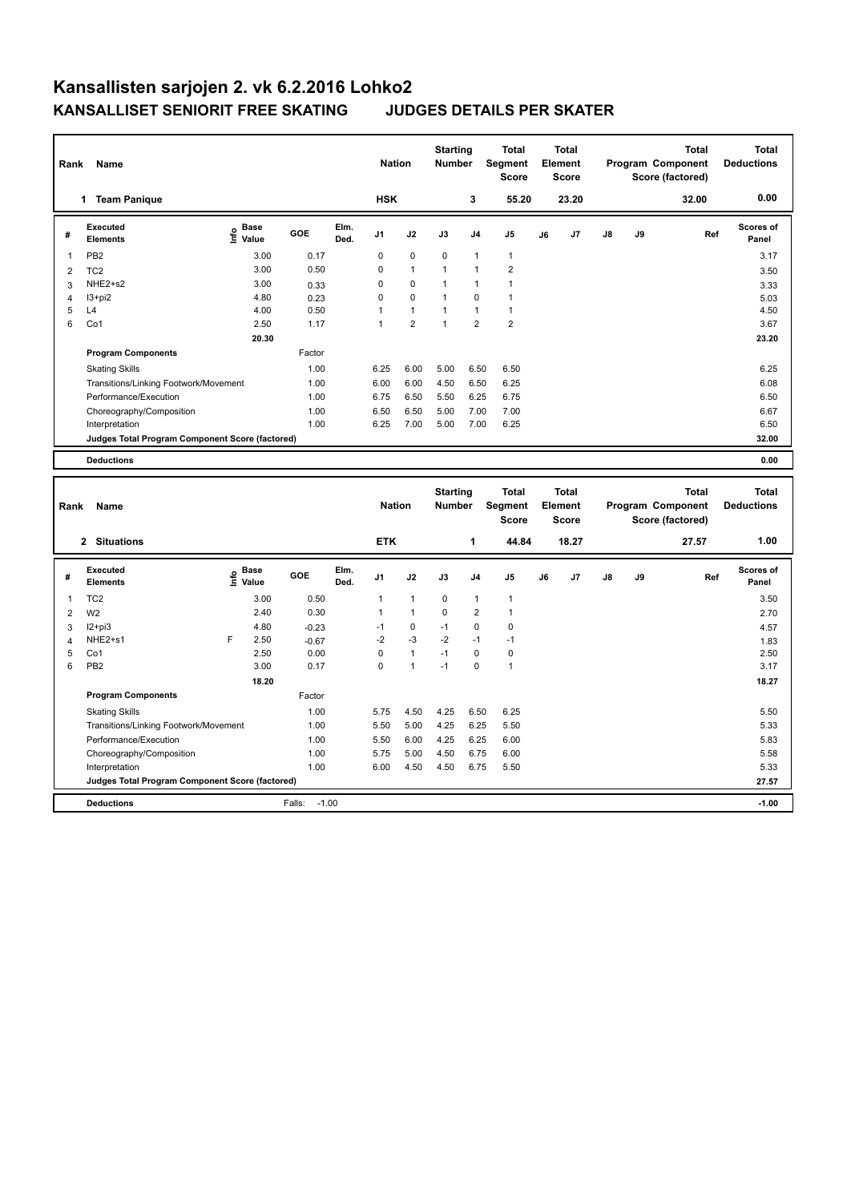| Rank           | Name                                            |                              |            |              | <b>Nation</b>  |                | <b>Starting</b><br>Number        |                | <b>Total</b><br>Segment<br><b>Score</b> |    | <b>Total</b><br>Element<br><b>Score</b> |    |    | <b>Total</b><br>Program Component<br>Score (factored) | <b>Total</b><br><b>Deductions</b> |
|----------------|-------------------------------------------------|------------------------------|------------|--------------|----------------|----------------|----------------------------------|----------------|-----------------------------------------|----|-----------------------------------------|----|----|-------------------------------------------------------|-----------------------------------|
|                | 1 Team Panique                                  |                              |            |              | <b>HSK</b>     |                |                                  | 3              | 55.20                                   |    | 23.20                                   |    |    | 32.00                                                 | 0.00                              |
| #              | <b>Executed</b><br><b>Elements</b>              | <b>Base</b><br>۴<br>Value    | <b>GOE</b> | Elm.<br>Ded. | J1             | J2             | J3                               | J <sub>4</sub> | J5                                      | J6 | J7                                      | J8 | J9 | Ref                                                   | Scores of<br>Panel                |
| 1              | PB <sub>2</sub>                                 | 3.00                         | 0.17       |              | 0              | 0              | 0                                | $\mathbf{1}$   | $\mathbf{1}$                            |    |                                         |    |    |                                                       | 3.17                              |
| $\overline{2}$ | TC <sub>2</sub>                                 | 3.00                         | 0.50       |              | 0              | $\mathbf{1}$   | $\mathbf{1}$                     | $\mathbf{1}$   | $\overline{2}$                          |    |                                         |    |    |                                                       | 3.50                              |
| 3              | NHE2+s2                                         | 3.00                         | 0.33       |              | 0              | $\mathbf 0$    | $\overline{1}$                   | $\mathbf{1}$   | $\mathbf{1}$                            |    |                                         |    |    |                                                       | 3.33                              |
| $\overline{4}$ | $13+pi2$                                        | 4.80                         | 0.23       |              | 0              | $\mathbf 0$    | $\mathbf{1}$                     | $\mathbf 0$    | $\mathbf{1}$                            |    |                                         |    |    |                                                       | 5.03                              |
| 5              | L4                                              | 4.00                         | 0.50       |              | $\overline{1}$ | $\overline{1}$ | $\mathbf{1}$                     | $\mathbf{1}$   | $\mathbf{1}$                            |    |                                         |    |    |                                                       | 4.50                              |
| 6              | Co1                                             | 2.50                         | 1.17       |              | 1              | $\overline{2}$ | $\overline{1}$                   | $\overline{2}$ | $\overline{2}$                          |    |                                         |    |    |                                                       | 3.67                              |
|                |                                                 | 20.30                        |            |              |                |                |                                  |                |                                         |    |                                         |    |    |                                                       | 23.20                             |
|                | <b>Program Components</b>                       |                              | Factor     |              |                |                |                                  |                |                                         |    |                                         |    |    |                                                       |                                   |
|                | <b>Skating Skills</b>                           |                              | 1.00       |              | 6.25           | 6.00           | 5.00                             | 6.50           | 6.50                                    |    |                                         |    |    |                                                       | 6.25                              |
|                | Transitions/Linking Footwork/Movement           |                              | 1.00       |              | 6.00           | 6.00           | 4.50                             | 6.50           | 6.25                                    |    |                                         |    |    |                                                       | 6.08                              |
|                | Performance/Execution                           |                              | 1.00       |              | 6.75           | 6.50           | 5.50                             | 6.25           | 6.75                                    |    |                                         |    |    |                                                       | 6.50                              |
|                | Choreography/Composition                        |                              | 1.00       |              | 6.50           | 6.50           | 5.00                             | 7.00           | 7.00                                    |    |                                         |    |    |                                                       | 6.67                              |
|                | Interpretation                                  |                              | 1.00       |              | 6.25           | 7.00           | 5.00                             | 7.00           | 6.25                                    |    |                                         |    |    |                                                       | 6.50                              |
|                | Judges Total Program Component Score (factored) |                              |            |              |                |                |                                  |                |                                         |    |                                         |    |    |                                                       | 32.00                             |
|                |                                                 |                              |            |              |                |                |                                  |                |                                         |    |                                         |    |    |                                                       |                                   |
|                | <b>Deductions</b>                               |                              |            |              |                |                |                                  |                |                                         |    |                                         |    |    |                                                       | 0.00                              |
| Rank           | Name                                            |                              |            |              | <b>Nation</b>  |                | <b>Starting</b><br><b>Number</b> |                | <b>Total</b><br>Segment<br><b>Score</b> |    | Total<br>Element<br><b>Score</b>        |    |    | <b>Total</b><br>Program Component<br>Score (factored) | <b>Total</b><br><b>Deductions</b> |
|                | 2 Situations                                    |                              |            |              | <b>ETK</b>     |                |                                  | 1              | 44.84                                   |    | 18.27                                   |    |    | 27.57                                                 | 1.00                              |
| #              | <b>Executed</b><br><b>Elements</b>              | <b>Base</b><br>lnfo<br>Value | <b>GOE</b> | Elm.<br>Ded. | J1             | J2             | J3                               | J4             | J5                                      | J6 | J7                                      | J8 | J9 | Ref                                                   | Scores of<br>Panel                |
| 1              | TC <sub>2</sub>                                 | 3.00                         | 0.50       |              | $\mathbf{1}$   | $\mathbf{1}$   | 0                                | $\mathbf{1}$   | $\mathbf{1}$                            |    |                                         |    |    |                                                       | 3.50                              |
| 2              | W <sub>2</sub>                                  | 2.40                         | 0.30       |              | $\mathbf{1}$   | $\overline{1}$ | $\mathbf 0$                      | $\overline{2}$ | 1                                       |    |                                         |    |    |                                                       | 2.70                              |
| 3              | $12+pi3$                                        | 4.80                         | $-0.23$    |              | $-1$           | $\mathbf 0$    | $-1$                             | $\mathbf 0$    | $\mathbf 0$                             |    |                                         |    |    |                                                       | 4.57                              |
| $\overline{4}$ | NHE <sub>2+s1</sub>                             | F<br>2.50                    | $-0.67$    |              | $-2$           | $-3$           | $-2$                             | $-1$           | $-1$                                    |    |                                         |    |    |                                                       | 1.83                              |
| 5              | Co1                                             | 2.50                         | 0.00       |              | $\mathbf 0$    | $\overline{1}$ | $-1$                             | $\mathbf 0$    | $\pmb{0}$                               |    |                                         |    |    |                                                       | 2.50                              |
| 6              | PB <sub>2</sub>                                 | 3.00                         | 0.17       |              | 0              | $\overline{1}$ | $-1$                             | $\mathbf 0$    | $\mathbf{1}$                            |    |                                         |    |    |                                                       | 3.17                              |
|                |                                                 | 18.20                        |            |              |                |                |                                  |                |                                         |    |                                         |    |    |                                                       | 18.27                             |
|                | <b>Program Components</b>                       |                              | Factor     |              |                |                |                                  |                |                                         |    |                                         |    |    |                                                       |                                   |
|                | <b>Skating Skills</b>                           |                              | 1.00       |              | 5.75           | 4.50           | 4.25                             | 6.50           | 6.25                                    |    |                                         |    |    |                                                       | 5.50                              |

Transitions/Linking Footwork/Movement 1.00 5.50 5.00 4.25 6.25 5.50 5.33 Performance/Execution 1.00 5.50 6.00 4.25 6.25 6.00 5.83 Choreography/Composition 1.00 5.75 5.00 4.50 6.75 6.00 5.58 Choreography/Composition 1.00 5.75 5.00 4.50 6.75 6.00 5.58<br>Interpretation 1.00 6.00 4.50 6.75 5.50 5.33

**Deductions** Falls: -1.00 **-1.00 Judges Total Program Component Score (factored) 27.57**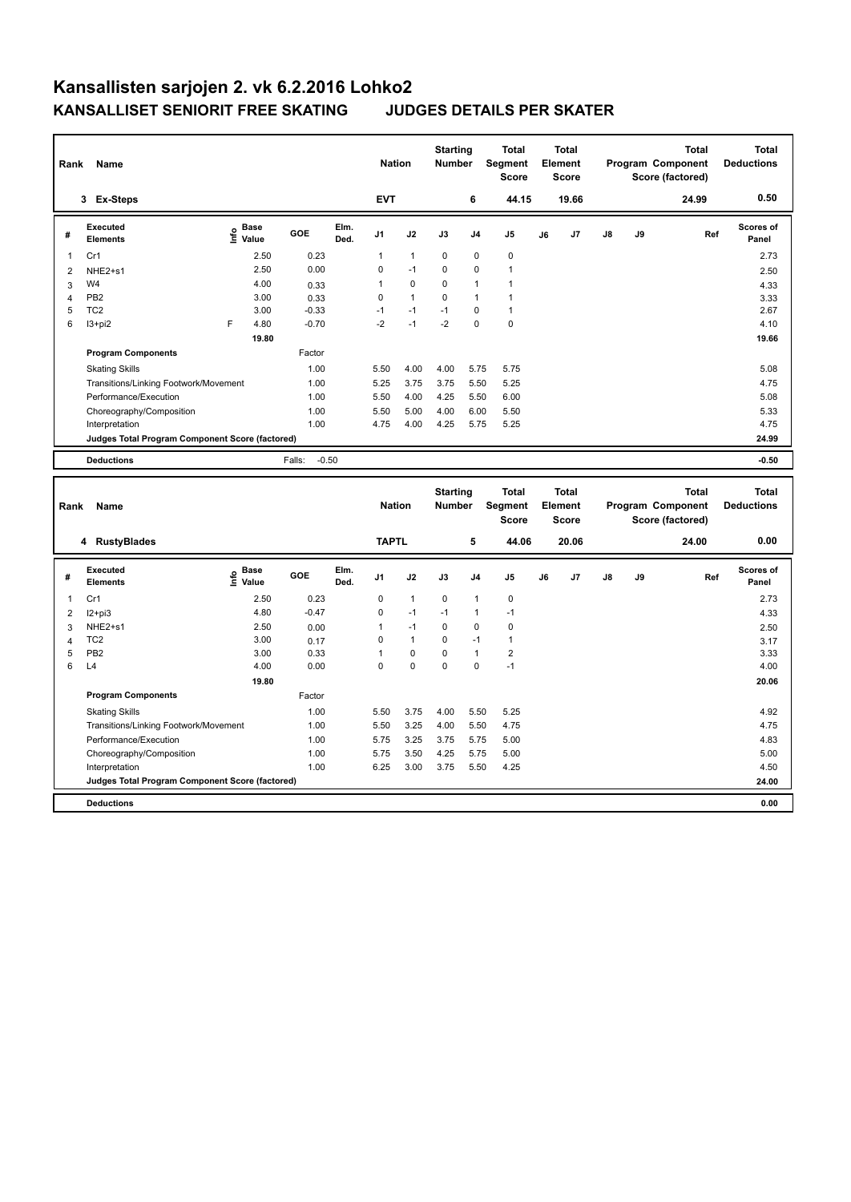| Rank           | <b>Name</b>                                                    |                                  |                   |              | <b>Nation</b>  |                      | <b>Starting</b><br><b>Number</b> |                     | <b>Total</b><br>Segment<br><b>Score</b> |    | <b>Total</b><br>Element<br>Score        |    |    | <b>Total</b><br>Program Component<br>Score (factored) | <b>Total</b><br><b>Deductions</b> |
|----------------|----------------------------------------------------------------|----------------------------------|-------------------|--------------|----------------|----------------------|----------------------------------|---------------------|-----------------------------------------|----|-----------------------------------------|----|----|-------------------------------------------------------|-----------------------------------|
|                | 3 Ex-Steps                                                     |                                  |                   |              | <b>EVT</b>     |                      |                                  | 6                   | 44.15                                   |    | 19.66                                   |    |    | 24.99                                                 | 0.50                              |
| #              | <b>Executed</b><br><b>Elements</b>                             | <b>Base</b><br>e Base<br>⊆ Value | GOE               | Elm.<br>Ded. | J <sub>1</sub> | J2                   | J3                               | J <sub>4</sub>      | J5                                      | J6 | J7                                      | J8 | J9 | Ref                                                   | Scores of<br>Panel                |
| 1              | Cr1                                                            | 2.50                             | 0.23              |              | 1              | $\mathbf{1}$         | 0                                | $\mathbf 0$         | $\mathbf 0$                             |    |                                         |    |    |                                                       | 2.73                              |
| $\overline{2}$ | NHE2+s1                                                        | 2.50                             | 0.00              |              | 0              | $-1$                 | 0                                | $\pmb{0}$           | $\mathbf{1}$                            |    |                                         |    |    |                                                       | 2.50                              |
| 3              | W <sub>4</sub>                                                 | 4.00                             | 0.33              |              | 1              | $\mathbf 0$          | 0                                | $\mathbf{1}$        | $\mathbf{1}$                            |    |                                         |    |    |                                                       | 4.33                              |
| 4              | PB <sub>2</sub>                                                | 3.00                             | 0.33              |              | 0              | $\mathbf{1}$         | 0                                | $\mathbf{1}$        | $\mathbf{1}$                            |    |                                         |    |    |                                                       | 3.33                              |
| 5              | TC <sub>2</sub>                                                | 3.00                             | $-0.33$           |              | $-1$           | $-1$                 | $-1$                             | $\pmb{0}$           | $\mathbf{1}$                            |    |                                         |    |    |                                                       | 2.67                              |
| 6              | $13 + pi2$                                                     | F<br>4.80                        | $-0.70$           |              | $-2$           | $-1$                 | $-2$                             | $\mathbf 0$         | $\pmb{0}$                               |    |                                         |    |    |                                                       | 4.10                              |
|                |                                                                | 19.80                            |                   |              |                |                      |                                  |                     |                                         |    |                                         |    |    |                                                       | 19.66                             |
|                | <b>Program Components</b>                                      |                                  | Factor            |              |                |                      |                                  |                     |                                         |    |                                         |    |    |                                                       |                                   |
|                | <b>Skating Skills</b>                                          |                                  | 1.00              |              | 5.50           | 4.00                 | 4.00                             | 5.75                | 5.75                                    |    |                                         |    |    |                                                       | 5.08                              |
|                | Transitions/Linking Footwork/Movement                          |                                  | 1.00              |              | 5.25           | 3.75                 | 3.75                             | 5.50                | 5.25                                    |    |                                         |    |    |                                                       | 4.75                              |
|                | Performance/Execution                                          |                                  | 1.00              |              | 5.50           | 4.00                 | 4.25                             | 5.50                | 6.00                                    |    |                                         |    |    |                                                       | 5.08                              |
|                | Choreography/Composition                                       |                                  | 1.00              |              | 5.50           | 5.00                 | 4.00                             | 6.00                | 5.50                                    |    |                                         |    |    |                                                       | 5.33                              |
|                | Interpretation                                                 |                                  | 1.00              |              | 4.75           | 4.00                 | 4.25                             | 5.75                | 5.25                                    |    |                                         |    |    |                                                       | 4.75                              |
|                | Judges Total Program Component Score (factored)                |                                  |                   |              |                |                      |                                  |                     |                                         |    |                                         |    |    |                                                       | 24.99                             |
|                |                                                                |                                  |                   |              |                |                      |                                  |                     |                                         |    |                                         |    |    |                                                       |                                   |
|                | <b>Deductions</b>                                              |                                  |                   |              |                |                      |                                  |                     |                                         |    |                                         |    |    |                                                       |                                   |
|                |                                                                |                                  | $-0.50$<br>Falls: |              |                |                      |                                  |                     |                                         |    |                                         |    |    |                                                       | $-0.50$                           |
| Rank           | Name                                                           |                                  |                   |              | <b>Nation</b>  |                      | <b>Starting</b><br>Number        |                     | <b>Total</b><br>Segment<br><b>Score</b> |    | <b>Total</b><br>Element<br><b>Score</b> |    |    | <b>Total</b><br>Program Component<br>Score (factored) | <b>Total</b><br><b>Deductions</b> |
|                | 4 RustyBlades                                                  |                                  |                   |              | <b>TAPTL</b>   |                      |                                  | 5                   | 44.06                                   |    | 20.06                                   |    |    | 24.00                                                 | 0.00                              |
| #              | <b>Executed</b><br><b>Elements</b>                             | <b>Base</b><br>o Base<br>E Value | GOE               | Elm.<br>Ded. | J <sub>1</sub> | J2                   | J3                               | J <sub>4</sub>      | J5                                      | J6 | J7                                      | J8 | J9 | Ref                                                   | Scores of<br>Panel                |
| 1              | Cr1                                                            | 2.50                             | 0.23              |              | 0              | $\mathbf{1}$         | $\mathbf 0$                      | $\overline{1}$      | $\pmb{0}$                               |    |                                         |    |    |                                                       | 2.73                              |
|                |                                                                | 4.80                             | $-0.47$           |              | 0              | $-1$                 | $-1$                             | $\mathbf{1}$        | $-1$                                    |    |                                         |    |    |                                                       |                                   |
| $\overline{2}$ | $12+pi3$                                                       |                                  |                   |              | $\overline{1}$ |                      |                                  |                     |                                         |    |                                         |    |    |                                                       | 4.33                              |
| 3              | NHE <sub>2+s1</sub>                                            | 2.50                             | 0.00              |              | 0              | $-1$<br>$\mathbf{1}$ | 0<br>0                           | $\mathbf 0$<br>$-1$ | $\mathbf 0$<br>$\mathbf{1}$             |    |                                         |    |    |                                                       | 2.50                              |
| $\overline{4}$ | TC <sub>2</sub><br>PB <sub>2</sub>                             | 3.00                             | 0.17              |              | $\mathbf{1}$   | 0                    | 0                                | $\mathbf{1}$        |                                         |    |                                         |    |    |                                                       | 3.17                              |
| 5<br>6         | L <sub>4</sub>                                                 | 3.00<br>4.00                     | 0.33<br>0.00      |              | 0              | $\Omega$             | $\Omega$                         | 0                   | $\mathbf 2$<br>$-1$                     |    |                                         |    |    |                                                       | 3.33<br>4.00                      |
|                |                                                                |                                  |                   |              |                |                      |                                  |                     |                                         |    |                                         |    |    |                                                       |                                   |
|                | <b>Program Components</b>                                      | 19.80                            | Factor            |              |                |                      |                                  |                     |                                         |    |                                         |    |    |                                                       | 20.06                             |
|                | <b>Skating Skills</b>                                          |                                  | 1.00              |              | 5.50           | 3.75                 | 4.00                             | 5.50                | 5.25                                    |    |                                         |    |    |                                                       | 4.92                              |
|                |                                                                |                                  | 1.00              |              | 5.50           |                      | 4.00                             |                     |                                         |    |                                         |    |    |                                                       | 4.75                              |
|                | Transitions/Linking Footwork/Movement<br>Performance/Execution |                                  | 1.00              |              | 5.75           | 3.25<br>3.25         | 3.75                             | 5.50<br>5.75        | 4.75                                    |    |                                         |    |    |                                                       | 4.83                              |
|                | Choreography/Composition                                       |                                  | 1.00              |              | 5.75           | 3.50                 | 4.25                             | 5.75                | 5.00<br>5.00                            |    |                                         |    |    |                                                       | 5.00                              |

**Judges Total Program Component Score (factored) 24.00**

**Deductions 0.00**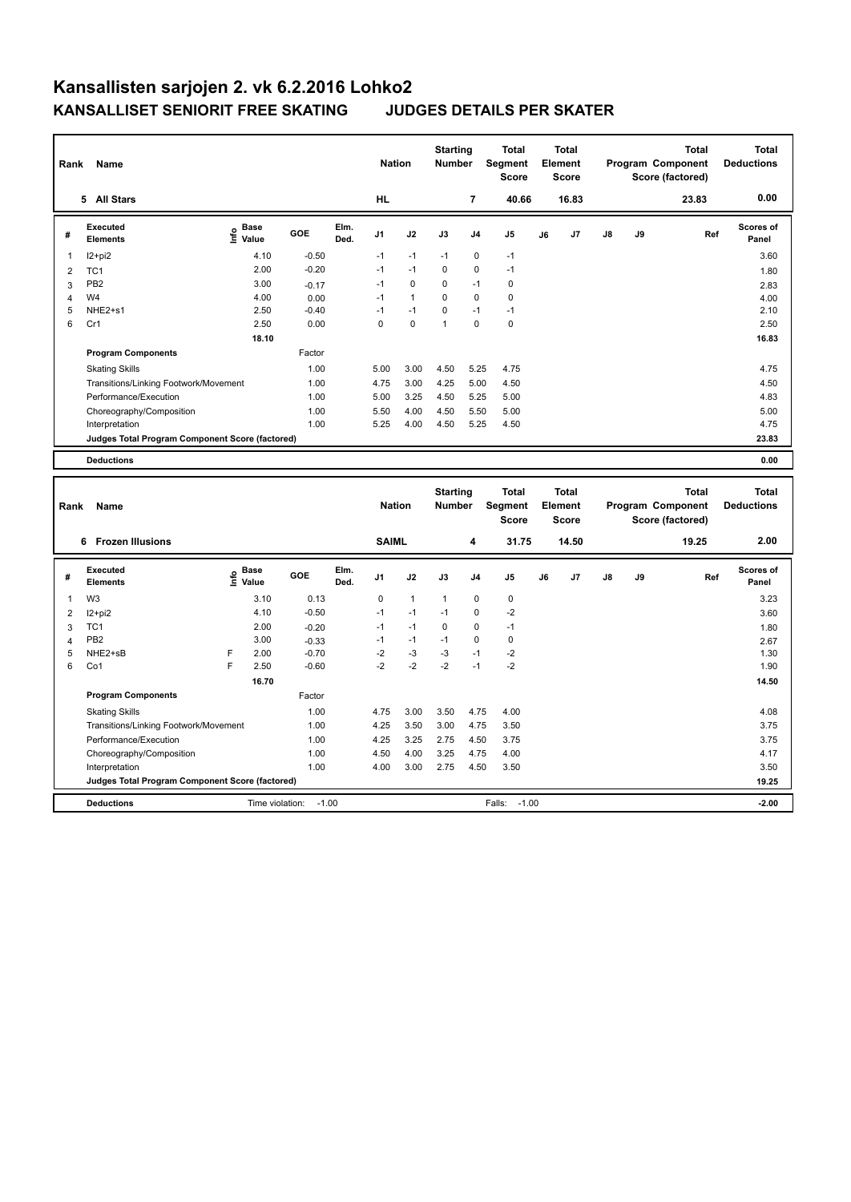| Rank           | Name                                            |                              |         |              | <b>Nation</b>  |              | <b>Starting</b><br><b>Number</b> |                | <b>Total</b><br>Segment<br><b>Score</b> |    | <b>Total</b><br>Element<br><b>Score</b> |               |    | <b>Total</b><br>Program Component<br>Score (factored) | <b>Total</b><br><b>Deductions</b> |
|----------------|-------------------------------------------------|------------------------------|---------|--------------|----------------|--------------|----------------------------------|----------------|-----------------------------------------|----|-----------------------------------------|---------------|----|-------------------------------------------------------|-----------------------------------|
|                | 5 All Stars                                     |                              |         |              | <b>HL</b>      |              |                                  | $\overline{7}$ | 40.66                                   |    | 16.83                                   |               |    | 23.83                                                 | 0.00                              |
| #              | Executed<br><b>Elements</b>                     | <b>Base</b><br>١in<br>Value  | GOE     | Elm.<br>Ded. | J <sub>1</sub> | J2           | J3                               | J <sub>4</sub> | J <sub>5</sub>                          | J6 | J7                                      | $\mathsf{J}8$ | J9 | Ref                                                   | <b>Scores of</b><br>Panel         |
| $\mathbf{1}$   | $12+pi2$                                        | 4.10                         | $-0.50$ |              | $-1$           | $-1$         | $-1$                             | $\mathbf 0$    | $-1$                                    |    |                                         |               |    |                                                       | 3.60                              |
| 2              | TC <sub>1</sub>                                 | 2.00                         | $-0.20$ |              | $-1$           | $-1$         | 0                                | $\mathbf 0$    | $-1$                                    |    |                                         |               |    |                                                       | 1.80                              |
| 3              | PB <sub>2</sub>                                 | 3.00                         | $-0.17$ |              | $-1$           | $\mathbf 0$  | $\Omega$                         | $-1$           | 0                                       |    |                                         |               |    |                                                       | 2.83                              |
| $\overline{4}$ | W <sub>4</sub>                                  | 4.00                         | 0.00    |              | $-1$           | $\mathbf{1}$ | $\Omega$                         | $\mathbf 0$    | $\mathbf 0$                             |    |                                         |               |    |                                                       | 4.00                              |
| 5              | NHE2+s1                                         | 2.50                         | $-0.40$ |              | $-1$           | $-1$         | $\mathbf 0$                      | $-1$           | $-1$                                    |    |                                         |               |    |                                                       | 2.10                              |
| 6              | Cr1                                             | 2.50                         | 0.00    |              | $\Omega$       | $\mathbf 0$  | $\mathbf{1}$                     | $\Omega$       | $\mathbf 0$                             |    |                                         |               |    |                                                       | 2.50                              |
|                |                                                 | 18.10                        |         |              |                |              |                                  |                |                                         |    |                                         |               |    |                                                       | 16.83                             |
|                | <b>Program Components</b>                       |                              | Factor  |              |                |              |                                  |                |                                         |    |                                         |               |    |                                                       |                                   |
|                | <b>Skating Skills</b>                           |                              | 1.00    |              | 5.00           | 3.00         | 4.50                             | 5.25           | 4.75                                    |    |                                         |               |    |                                                       | 4.75                              |
|                | Transitions/Linking Footwork/Movement           |                              | 1.00    |              | 4.75           | 3.00         | 4.25                             | 5.00           | 4.50                                    |    |                                         |               |    |                                                       | 4.50                              |
|                | Performance/Execution                           |                              | 1.00    |              | 5.00           | 3.25         | 4.50                             | 5.25           | 5.00                                    |    |                                         |               |    |                                                       | 4.83                              |
|                | Choreography/Composition                        |                              | 1.00    |              | 5.50           | 4.00         | 4.50                             | 5.50           | 5.00                                    |    |                                         |               |    |                                                       | 5.00                              |
|                | Interpretation                                  |                              | 1.00    |              | 5.25           | 4.00         | 4.50                             | 5.25           | 4.50                                    |    |                                         |               |    |                                                       | 4.75                              |
|                | Judges Total Program Component Score (factored) |                              |         |              |                |              |                                  |                |                                         |    |                                         |               |    |                                                       | 23.83                             |
|                | <b>Deductions</b>                               |                              |         |              |                |              |                                  |                |                                         |    |                                         |               |    |                                                       | 0.00                              |
|                |                                                 |                              |         |              |                |              |                                  |                |                                         |    |                                         |               |    |                                                       |                                   |
| Rank           | Name                                            |                              |         |              | <b>Nation</b>  |              | <b>Starting</b><br><b>Number</b> |                | <b>Total</b><br>Segment<br><b>Score</b> |    | <b>Total</b><br>Element<br><b>Score</b> |               |    | <b>Total</b><br>Program Component<br>Score (factored) | <b>Total</b><br><b>Deductions</b> |
|                | 6 Frozen Illusions                              |                              |         |              | <b>SAIML</b>   |              |                                  | 4              | 31.75                                   |    | 14.50                                   |               |    | 19.25                                                 | 2.00                              |
| #              | Executed<br><b>Elements</b>                     | <b>Base</b><br>lnfo<br>Value | GOE     | Elm.<br>Ded. | J <sub>1</sub> | J2           | J3                               | J <sub>4</sub> | J <sub>5</sub>                          | J6 | J7                                      | J8            | J9 | Ref                                                   | <b>Scores of</b><br>Panel         |
| $\mathbf{1}$   | W <sub>3</sub>                                  | 3.10                         | 0.13    |              | 0              | $\mathbf{1}$ | $\mathbf{1}$                     | $\mathbf 0$    | $\pmb{0}$                               |    |                                         |               |    |                                                       | 3.23                              |
| 2              | $12+pi2$                                        | 4.10                         | $-0.50$ |              | $-1$           | $-1$         | $-1$                             | $\mathbf 0$    | $-2$                                    |    |                                         |               |    |                                                       | 3.60                              |
| 3              | TC <sub>1</sub>                                 | 2.00                         | $-0.20$ |              | $-1$           | $-1$         | $\mathbf 0$                      | $\Omega$       | $-1$                                    |    |                                         |               |    |                                                       | 1.80                              |

4 PB2 3.00 -0.33 -1 -1 -1 0 0 2.67 5 NHE2+sB F 2.00 -0.70 -2 -3 -3 -1 -2 1.30 6 Co1 F 2.50 -0.60 -2 -2 -2 -1 -2 1.90

Factor

Skating Skills 4.75 3.00 3.50 4.75 4.00 1.00 4.08

Transitions/Linking Footwork/Movement 1.00 4.25 3.50 3.00 4.75 3.50 3.75 Performance/Execution 1.00 4.25 3.25 2.75 4.50 3.75 3.75 Choreography/Composition 1.00 4.50 4.00 3.25 4.75 4.00 4.17 Interpretation 1.00 4.00 3.00 2.75 4.50 3.50 3.50

**Deductions CONSERVING THE VIOLATION:**  $-1.00$  Falls:  $-1.00$  **-2.00** -2.00 **Judges Total Program Component Score (factored) 19.25**

**Program Components** 

 **16.70 14.50**